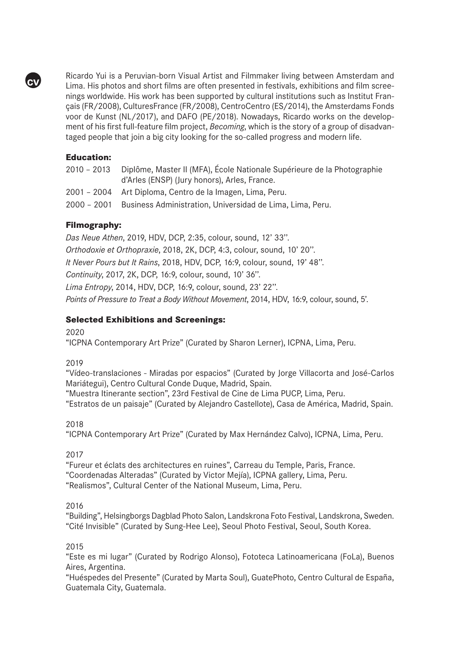Ricardo Yui is a Peruvian-born Visual Artist and Filmmaker living between Amsterdam and Lima. His photos and short films are often presented in festivals, exhibitions and film screenings worldwide. His work has been supported by cultural institutions such as Institut Français (FR/2008), CulturesFrance (FR/2008), CentroCentro (ES/2014), the Amsterdams Fonds voor de Kunst (NL/2017), and DAFO (PE/2018). Nowadays, Ricardo works on the development of his first full-feature film project, *Becoming*, which is the story of a group of disadvantaged people that join a big city looking for the so-called progress and modern life.

### **Education:**

**CV**

| 2010 - 2013 Diplôme, Master II (MFA), École Nationale Supérieure de la Photographie |
|-------------------------------------------------------------------------------------|
| d'Arles (ENSP) (Jury honors), Arles, France.                                        |
| 2001 – 2004 Art Diploma, Centro de la Imagen, Lima, Peru.                           |

2000 – 2001 Business Administration, Universidad de Lima, Lima, Peru.

## **Filmography:**

*Das Neue Athen*, 2019, HDV, DCP, 2:35, colour, sound, 12' 33''. *Orthodoxie et Orthopraxie*, 2018, 2K, DCP, 4:3, colour, sound, 10' 20''. *It Never Pours but It Rains*, 2018, HDV, DCP, 16:9, colour, sound, 19' 48''. *Continuity*, 2017, 2K, DCP, 16:9, colour, sound, 10' 36''. *Lima Entropy*, 2014, HDV, DCP, 16:9, colour, sound, 23' 22''. *Points of Pressure to Treat a Body Without Movement*, 2014, HDV, 16:9, colour, sound, 5'.

### **Selected Exhibitions and Screenings:**

2020

"ICPNA Contemporary Art Prize" (Curated by Sharon Lerner), ICPNA, Lima, Peru.

2019

"Vídeo-translaciones - Miradas por espacios" (Curated by Jorge Villacorta and José-Carlos Mariátegui), Centro Cultural Conde Duque, Madrid, Spain.

"Muestra Itinerante section", 23rd Festival de Cine de Lima PUCP, Lima, Peru.

"Estratos de un paisaje" (Curated by Alejandro Castellote), Casa de América, Madrid, Spain.

2018

"ICPNA Contemporary Art Prize" (Curated by Max Hernández Calvo), ICPNA, Lima, Peru.

2017

"Fureur et éclats des architectures en ruines", Carreau du Temple, Paris, France.

"Coordenadas Alteradas" (Curated by Victor Mejía), ICPNA gallery, Lima, Peru.

"Realismos", Cultural Center of the National Museum, Lima, Peru.

#### 2016

"Building", Helsingborgs Dagblad Photo Salon, Landskrona Foto Festival, Landskrona, Sweden. "Cité Invisible" (Curated by Sung-Hee Lee), Seoul Photo Festival, Seoul, South Korea.

2015

"Este es mi lugar" (Curated by Rodrigo Alonso), Fototeca Latinoamericana (FoLa), Buenos Aires, Argentina.

"Huéspedes del Presente" (Curated by Marta Soul), GuatePhoto, Centro Cultural de España, Guatemala City, Guatemala.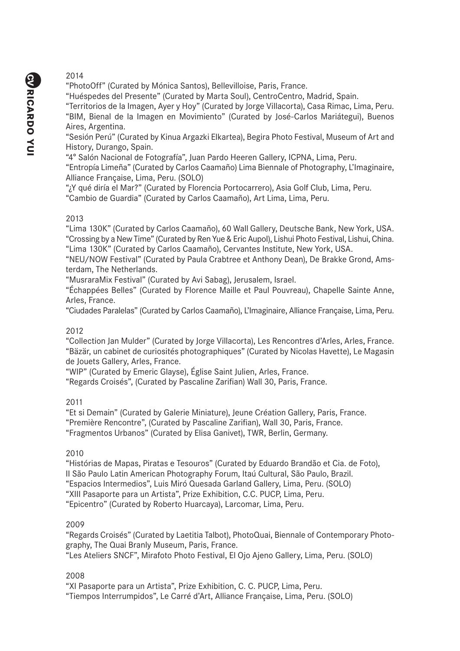#### 2014

"PhotoOff" (Curated by Mónica Santos), Bellevilloise, Paris, France.

"Huéspedes del Presente" (Curated by Marta Soul), CentroCentro, Madrid, Spain.

"Territorios de la Imagen, Ayer y Hoy" (Curated by Jorge Villacorta), Casa Rimac, Lima, Peru.

"BIM, Bienal de la Imagen en Movimiento" (Curated by José-Carlos Mariátegui), Buenos Aires, Argentina.

"Sesión Perú" (Curated by Kinua Argazki Elkartea), Begira Photo Festival, Museum of Art and History, Durango, Spain.

"4° Salón Nacional de Fotografía", Juan Pardo Heeren Gallery, ICPNA, Lima, Peru.

"Entropía Limeña" (Curated by Carlos Caamaño) Lima Biennale of Photography, L'Imaginaire, Alliance Française, Lima, Peru. (SOLO)

"¿Y qué diría el Mar?" (Curated by Florencia Portocarrero), Asia Golf Club, Lima, Peru. "Cambio de Guardia" (Curated by Carlos Caamaño), Art Lima, Lima, Peru.

#### 2013

"Lima 130K" (Curated by Carlos Caamaño), 60 Wall Gallery, Deutsche Bank, New York, USA. "Crossing by a New Time" (Curated by Ren Yue & Eric Aupol), Lishui Photo Festival, Lishui, China. "Lima 130K" (Curated by Carlos Caamaño), Cervantes Institute, New York, USA.

"NEU/NOW Festival" (Curated by Paula Crabtree et Anthony Dean), De Brakke Grond, Amsterdam, The Netherlands.

"MusraraMix Festival" (Curated by Avi Sabag), Jerusalem, Israel.

"Échappées Belles" (Curated by Florence Maille et Paul Pouvreau), Chapelle Sainte Anne, Arles, France.

"Ciudades Paralelas" (Curated by Carlos Caamaño), L'Imaginaire, Alliance Française, Lima, Peru.

#### 2012

"Collection Jan Mulder" (Curated by Jorge Villacorta), Les Rencontres d'Arles, Arles, France. "Bäzär, un cabinet de curiosités photographiques" (Curated by Nicolas Havette), Le Magasin de Jouets Gallery, Arles, France.

"WIP" (Curated by Emeric Glayse), Église Saint Julien, Arles, France.

"Regards Croisés", (Curated by Pascaline Zarifian) Wall 30, Paris, France.

#### 2011

"Et si Demain" (Curated by Galerie Miniature), Jeune Création Gallery, Paris, France.

"Première Rencontre", (Curated by Pascaline Zarifian), Wall 30, Paris, France.

"Fragmentos Urbanos" (Curated by Elisa Ganivet), TWR, Berlin, Germany.

#### 2010

"Histórias de Mapas, Piratas e Tesouros" (Curated by Eduardo Brandão et Cia. de Foto), II São Paulo Latin American Photography Forum, Itaú Cultural, São Paulo, Brazil.

"Espacios Intermedios", Luis Miró Quesada Garland Gallery, Lima, Peru. (SOLO)

"XIII Pasaporte para un Artista", Prize Exhibition, C.C. PUCP, Lima, Peru.

"Epicentro" (Curated by Roberto Huarcaya), Larcomar, Lima, Peru.

#### 2009

"Regards Croisés" (Curated by Laetitia Talbot), PhotoQuai, Biennale of Contemporary Photography, The Quai Branly Museum, Paris, France.

"Les Ateliers SNCF", Mirafoto Photo Festival, El Ojo Ajeno Gallery, Lima, Peru. (SOLO)

### 2008

"XI Pasaporte para un Artista", Prize Exhibition, C. C. PUCP, Lima, Peru. "Tiempos Interrumpidos", Le Carré d'Art, Alliance Française, Lima, Peru. (SOLO)